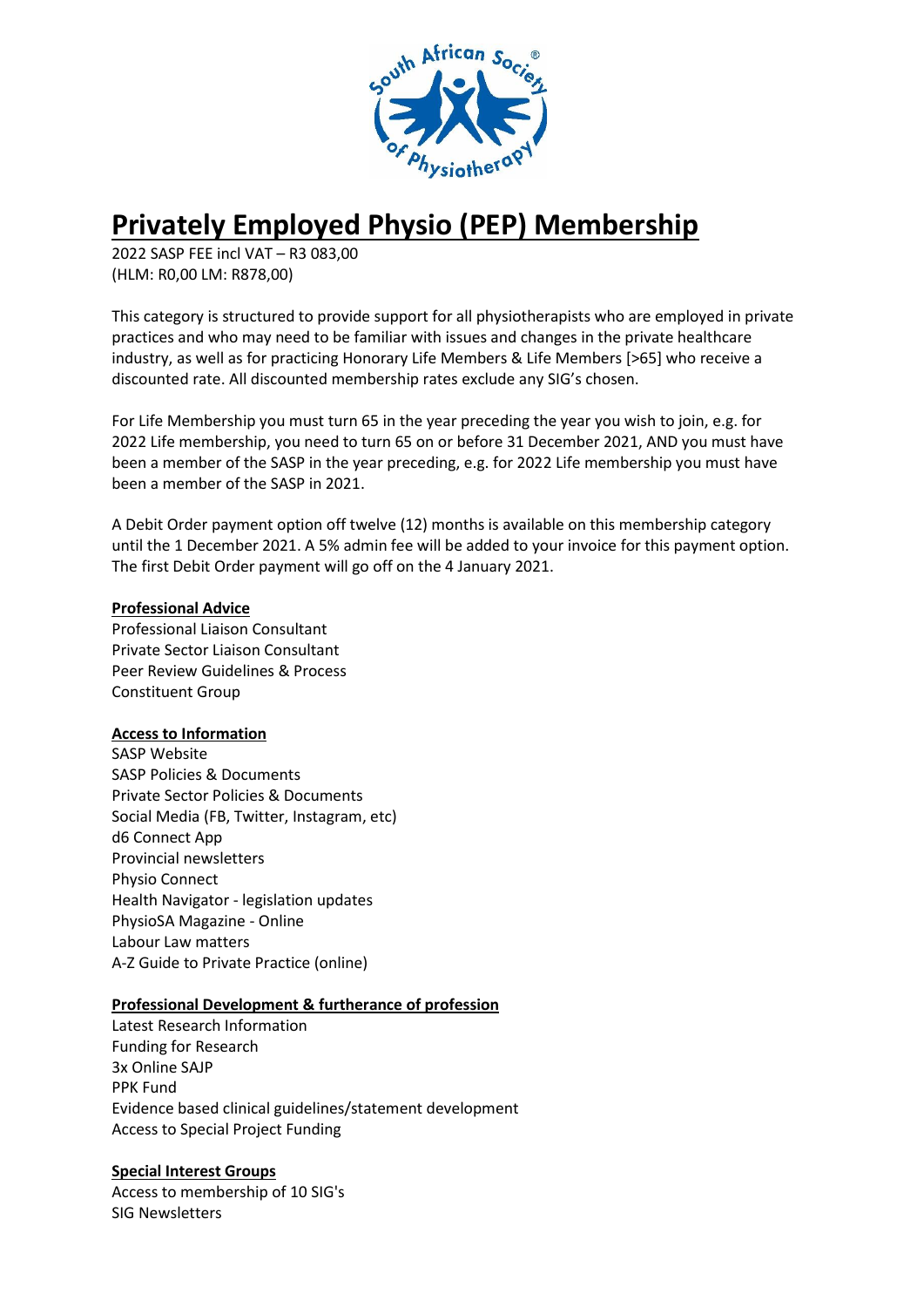

# **Privately Employed Physio (PEP) Membership**

2022 SASP FEE incl VAT – R3 083,00 (HLM: R0,00 LM: R878,00)

This category is structured to provide support for all physiotherapists who are employed in private practices and who may need to be familiar with issues and changes in the private healthcare industry, as well as for practicing Honorary Life Members & Life Members [>65] who receive a discounted rate. All discounted membership rates exclude any SIG's chosen.

For Life Membership you must turn 65 in the year preceding the year you wish to join, e.g. for 2022 Life membership, you need to turn 65 on or before 31 December 2021, AND you must have been a member of the SASP in the year preceding, e.g. for 2022 Life membership you must have been a member of the SASP in 2021.

A Debit Order payment option off twelve (12) months is available on this membership category until the 1 December 2021. A 5% admin fee will be added to your invoice for this payment option. The first Debit Order payment will go off on the 4 January 2021.

#### **Professional Advice**

Professional Liaison Consultant Private Sector Liaison Consultant Peer Review Guidelines & Process Constituent Group

## **Access to Information**

SASP Website SASP Policies & Documents Private Sector Policies & Documents Social Media (FB, Twitter, Instagram, etc) d6 Connect App Provincial newsletters Physio Connect Health Navigator - legislation updates PhysioSA Magazine - Online Labour Law matters A-Z Guide to Private Practice (online)

#### **Professional Development & furtherance of profession**

Latest Research Information Funding for Research 3x Online SAJP PPK Fund Evidence based clinical guidelines/statement development Access to Special Project Funding

#### **Special Interest Groups**

Access to membership of 10 SIG's SIG Newsletters